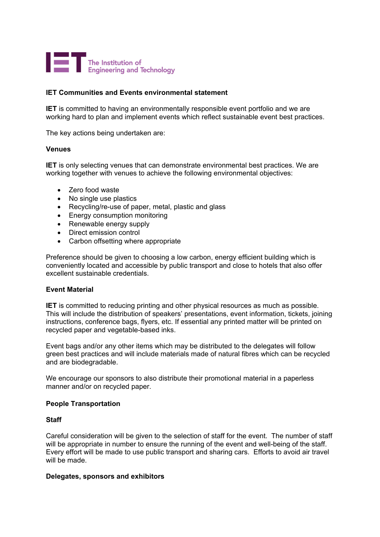

## **IET Communities and Events environmental statement**

**IET** is committed to having an environmentally responsible event portfolio and we are working hard to plan and implement events which reflect sustainable event best practices.

The key actions being undertaken are:

### **Venues**

**IET** is only selecting venues that can demonstrate environmental best practices. We are working together with venues to achieve the following environmental objectives:

- Zero food waste
- No single use plastics
- Recycling/re-use of paper, metal, plastic and glass
- Energy consumption monitoring
- Renewable energy supply
- Direct emission control
- Carbon offsetting where appropriate

Preference should be given to choosing a low carbon, energy efficient building which is conveniently located and accessible by public transport and close to hotels that also offer excellent sustainable credentials.

### **Event Material**

**IET** is committed to reducing printing and other physical resources as much as possible. This will include the distribution of speakers' presentations, event information, tickets, joining instructions, conference bags, flyers, etc. If essential any printed matter will be printed on recycled paper and vegetable-based inks.

Event bags and/or any other items which may be distributed to the delegates will follow green best practices and will include materials made of natural fibres which can be recycled and are biodegradable.

We encourage our sponsors to also distribute their promotional material in a paperless manner and/or on recycled paper.

### **People Transportation**

### **Staff**

Careful consideration will be given to the selection of staff for the event. The number of staff will be appropriate in number to ensure the running of the event and well-being of the staff. Every effort will be made to use public transport and sharing cars. Efforts to avoid air travel will be made.

### **Delegates, sponsors and exhibitors**